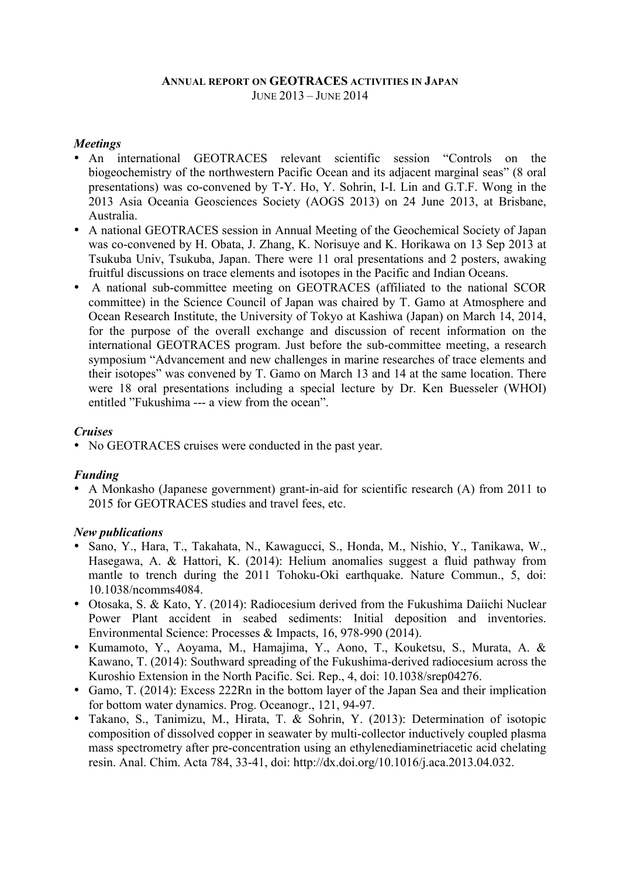### **ANNUAL REPORT ON GEOTRACES ACTIVITIES IN JAPAN** JUNE 2013 – JUNE 2014

### *Meetings*

- An international GEOTRACES relevant scientific session "Controls on the biogeochemistry of the northwestern Pacific Ocean and its adjacent marginal seas" (8 oral presentations) was co-convened by T-Y. Ho, Y. Sohrin, I-I. Lin and G.T.F. Wong in the 2013 Asia Oceania Geosciences Society (AOGS 2013) on 24 June 2013, at Brisbane, Australia.
- A national GEOTRACES session in Annual Meeting of the Geochemical Society of Japan was co-convened by H. Obata, J. Zhang, K. Norisuye and K. Horikawa on 13 Sep 2013 at Tsukuba Univ, Tsukuba, Japan. There were 11 oral presentations and 2 posters, awaking fruitful discussions on trace elements and isotopes in the Pacific and Indian Oceans.
- A national sub-committee meeting on GEOTRACES (affiliated to the national SCOR committee) in the Science Council of Japan was chaired by T. Gamo at Atmosphere and Ocean Research Institute, the University of Tokyo at Kashiwa (Japan) on March 14, 2014, for the purpose of the overall exchange and discussion of recent information on the international GEOTRACES program. Just before the sub-committee meeting, a research symposium "Advancement and new challenges in marine researches of trace elements and their isotopes" was convened by T. Gamo on March 13 and 14 at the same location. There were 18 oral presentations including a special lecture by Dr. Ken Buesseler (WHOI) entitled "Fukushima --- a view from the ocean".

# *Cruises*

• No GEOTRACES cruises were conducted in the past year.

# *Funding*

• A Monkasho (Japanese government) grant-in-aid for scientific research (A) from 2011 to 2015 for GEOTRACES studies and travel fees, etc.

# *New publications*

- Sano, Y., Hara, T., Takahata, N., Kawagucci, S., Honda, M., Nishio, Y., Tanikawa, W., Hasegawa, A. & Hattori, K. (2014): Helium anomalies suggest a fluid pathway from mantle to trench during the 2011 Tohoku-Oki earthquake. Nature Commun., 5, doi: 10.1038/ncomms4084.
- Otosaka, S. & Kato, Y. (2014): Radiocesium derived from the Fukushima Daiichi Nuclear Power Plant accident in seabed sediments: Initial deposition and inventories. Environmental Science: Processes & Impacts, 16, 978-990 (2014).
- Kumamoto, Y., Aoyama, M., Hamajima, Y., Aono, T., Kouketsu, S., Murata, A. & Kawano, T. (2014): Southward spreading of the Fukushima-derived radiocesium across the Kuroshio Extension in the North Pacific. Sci. Rep., 4, doi: 10.1038/srep04276.
- Gamo, T. (2014): Excess 222Rn in the bottom layer of the Japan Sea and their implication for bottom water dynamics. Prog. Oceanogr., 121, 94-97.
- Takano, S., Tanimizu, M., Hirata, T. & Sohrin, Y. (2013): Determination of isotopic composition of dissolved copper in seawater by multi-collector inductively coupled plasma mass spectrometry after pre-concentration using an ethylenediaminetriacetic acid chelating resin. Anal. Chim. Acta 784, 33-41, doi: http://dx.doi.org/10.1016/j.aca.2013.04.032.